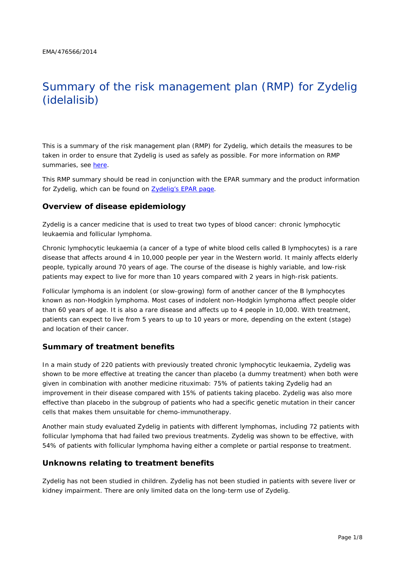# Summary of the risk management plan (RMP) for Zydelig (idelalisib)

This is a summary of the risk management plan (RMP) for Zydelig, which details the measures to be taken in order to ensure that Zydelig is used as safely as possible. For more information on RMP summaries, see [here.](http://www.ema.europa.eu/docs/en_GB/document_library/Other/2014/05/WC500166101.pdf)

This RMP summary should be read in conjunction with the EPAR summary and the product information for Zydelig, which can be found on [Zydelig's EPAR page.](http://www.ema.europa.eu/ema/index.jsp?curl=/pages/medicines/human/medicines/003843/human_med_001803.jsp)

#### **Overview of disease epidemiology**

Zydelig is a cancer medicine that is used to treat two types of blood cancer: chronic lymphocytic leukaemia and follicular lymphoma.

Chronic lymphocytic leukaemia (a cancer of a type of white blood cells called B lymphocytes) is a rare disease that affects around 4 in 10,000 people per year in the Western world. It mainly affects elderly people, typically around 70 years of age. The course of the disease is highly variable, and low-risk patients may expect to live for more than 10 years compared with 2 years in high-risk patients.

Follicular lymphoma is an indolent (or slow-growing) form of another cancer of the B lymphocytes known as non-Hodgkin lymphoma. Most cases of indolent non-Hodgkin lymphoma affect people older than 60 years of age. It is also a rare disease and affects up to 4 people in 10,000. With treatment, patients can expect to live from 5 years to up to 10 years or more, depending on the extent (stage) and location of their cancer.

#### **Summary of treatment benefits**

In a main study of 220 patients with previously treated chronic lymphocytic leukaemia, Zydelig was shown to be more effective at treating the cancer than placebo (a dummy treatment) when both were given in combination with another medicine rituximab: 75% of patients taking Zydelig had an improvement in their disease compared with 15% of patients taking placebo. Zydelig was also more effective than placebo in the subgroup of patients who had a specific genetic mutation in their cancer cells that makes them unsuitable for chemo-immunotherapy.

Another main study evaluated Zydelig in patients with different lymphomas, including 72 patients with follicular lymphoma that had failed two previous treatments. Zydelig was shown to be effective, with 54% of patients with follicular lymphoma having either a complete or partial response to treatment.

#### **Unknowns relating to treatment benefits**

Zydelig has not been studied in children. Zydelig has not been studied in patients with severe liver or kidney impairment. There are only limited data on the long-term use of Zydelig.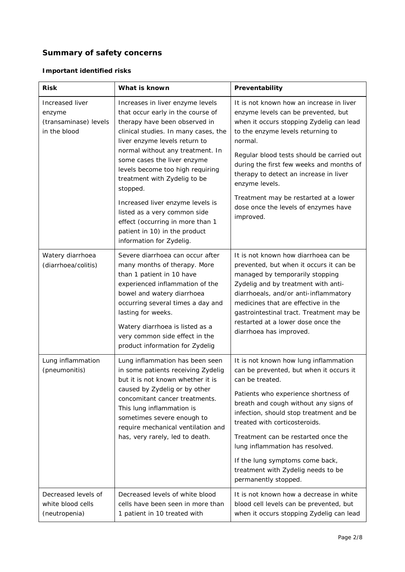# **Summary of safety concerns**

# *Important identified risks*

| <b>Risk</b>                                                        | What is known                                                                                                                                                                                                                                                                                                                                                                                                                                                                                           | Preventability                                                                                                                                                                                                                                                                                                                                                                                                                              |
|--------------------------------------------------------------------|---------------------------------------------------------------------------------------------------------------------------------------------------------------------------------------------------------------------------------------------------------------------------------------------------------------------------------------------------------------------------------------------------------------------------------------------------------------------------------------------------------|---------------------------------------------------------------------------------------------------------------------------------------------------------------------------------------------------------------------------------------------------------------------------------------------------------------------------------------------------------------------------------------------------------------------------------------------|
| Increased liver<br>enzyme<br>(transaminase) levels<br>in the blood | Increases in liver enzyme levels<br>that occur early in the course of<br>therapy have been observed in<br>clinical studies. In many cases, the<br>liver enzyme levels return to<br>normal without any treatment. In<br>some cases the liver enzyme<br>levels become too high requiring<br>treatment with Zydelig to be<br>stopped.<br>Increased liver enzyme levels is<br>listed as a very common side<br>effect (occurring in more than 1<br>patient in 10) in the product<br>information for Zydelig. | It is not known how an increase in liver<br>enzyme levels can be prevented, but<br>when it occurs stopping Zydelig can lead<br>to the enzyme levels returning to<br>normal.<br>Regular blood tests should be carried out<br>during the first few weeks and months of<br>therapy to detect an increase in liver<br>enzyme levels.<br>Treatment may be restarted at a lower<br>dose once the levels of enzymes have<br>improved.              |
| Watery diarrhoea<br>(diarrhoea/colitis)                            | Severe diarrhoea can occur after<br>many months of therapy. More<br>than 1 patient in 10 have<br>experienced inflammation of the<br>bowel and watery diarrhoea<br>occurring several times a day and<br>lasting for weeks.<br>Watery diarrhoea is listed as a<br>very common side effect in the<br>product information for Zydelig                                                                                                                                                                       | It is not known how diarrhoea can be<br>prevented, but when it occurs it can be<br>managed by temporarily stopping<br>Zydelig and by treatment with anti-<br>diarrhoeals, and/or anti-inflammatory<br>medicines that are effective in the<br>gastrointestinal tract. Treatment may be<br>restarted at a lower dose once the<br>diarrhoea has improved.                                                                                      |
| Lung inflammation<br>(pneumonitis)                                 | Lung inflammation has been seen<br>in some patients receiving Zydelig<br>but it is not known whether it is<br>caused by Zydelig or by other<br>concomitant cancer treatments.<br>This lung inflammation is<br>sometimes severe enough to<br>require mechanical ventilation and<br>has, very rarely, led to death.                                                                                                                                                                                       | It is not known how lung inflammation<br>can be prevented, but when it occurs it<br>can be treated.<br>Patients who experience shortness of<br>breath and cough without any signs of<br>infection, should stop treatment and be<br>treated with corticosteroids.<br>Treatment can be restarted once the<br>lung inflammation has resolved.<br>If the lung symptoms come back,<br>treatment with Zydelig needs to be<br>permanently stopped. |
| Decreased levels of<br>white blood cells<br>(neutropenia)          | Decreased levels of white blood<br>cells have been seen in more than<br>1 patient in 10 treated with                                                                                                                                                                                                                                                                                                                                                                                                    | It is not known how a decrease in white<br>blood cell levels can be prevented, but<br>when it occurs stopping Zydelig can lead                                                                                                                                                                                                                                                                                                              |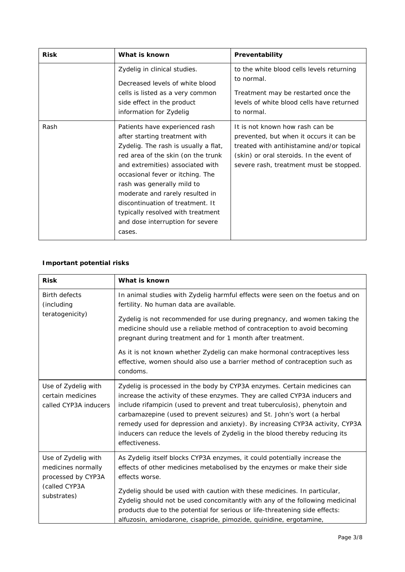| <b>Risk</b> | What is known                                                                                                                                                                                                                                                                                                                                                                                                 | Preventability                                                                                                                                                                                                 |
|-------------|---------------------------------------------------------------------------------------------------------------------------------------------------------------------------------------------------------------------------------------------------------------------------------------------------------------------------------------------------------------------------------------------------------------|----------------------------------------------------------------------------------------------------------------------------------------------------------------------------------------------------------------|
|             | Zydelig in clinical studies.<br>Decreased levels of white blood<br>cells is listed as a very common<br>side effect in the product<br>information for Zydelig                                                                                                                                                                                                                                                  | to the white blood cells levels returning<br>to normal.<br>Treatment may be restarted once the<br>levels of white blood cells have returned<br>to normal.                                                      |
| Rash        | Patients have experienced rash<br>after starting treatment with<br>Zydelig. The rash is usually a flat,<br>red area of the skin (on the trunk<br>and extremities) associated with<br>occasional fever or itching. The<br>rash was generally mild to<br>moderate and rarely resulted in<br>discontinuation of treatment. It<br>typically resolved with treatment<br>and dose interruption for severe<br>cases. | It is not known how rash can be<br>prevented, but when it occurs it can be<br>treated with antihistamine and/or topical<br>(skin) or oral steroids. In the event of<br>severe rash, treatment must be stopped. |

# *Important potential risks*

| <b>Risk</b>                                                                                     | What is known                                                                                                                                                                                                                                                                                                                                                                                                                                                                                   |  |  |
|-------------------------------------------------------------------------------------------------|-------------------------------------------------------------------------------------------------------------------------------------------------------------------------------------------------------------------------------------------------------------------------------------------------------------------------------------------------------------------------------------------------------------------------------------------------------------------------------------------------|--|--|
| <b>Birth defects</b><br>(including<br>teratogenicity)                                           | In animal studies with Zydelig harmful effects were seen on the foetus and on<br>fertility. No human data are available.                                                                                                                                                                                                                                                                                                                                                                        |  |  |
|                                                                                                 | Zydelig is not recommended for use during pregnancy, and women taking the<br>medicine should use a reliable method of contraception to avoid becoming<br>pregnant during treatment and for 1 month after treatment.                                                                                                                                                                                                                                                                             |  |  |
|                                                                                                 | As it is not known whether Zydelig can make hormonal contraceptives less<br>effective, women should also use a barrier method of contraception such as<br>condoms.                                                                                                                                                                                                                                                                                                                              |  |  |
| Use of Zydelig with<br>certain medicines<br>called CYP3A inducers                               | Zydelig is processed in the body by CYP3A enzymes. Certain medicines can<br>increase the activity of these enzymes. They are called CYP3A inducers and<br>include rifampicin (used to prevent and treat tuberculosis), phenytoin and<br>carbamazepine (used to prevent seizures) and St. John's wort (a herbal<br>remedy used for depression and anxiety). By increasing CYP3A activity, CYP3A<br>inducers can reduce the levels of Zydelig in the blood thereby reducing its<br>effectiveness. |  |  |
| Use of Zydelig with<br>medicines normally<br>processed by CYP3A<br>(called CYP3A<br>substrates) | As Zydelig itself blocks CYP3A enzymes, it could potentially increase the<br>effects of other medicines metabolised by the enzymes or make their side<br>effects worse.<br>Zydelig should be used with caution with these medicines. In particular,<br>Zydelig should not be used concomitantly with any of the following medicinal<br>products due to the potential for serious or life-threatening side effects:<br>alfuzosin, amiodarone, cisapride, pimozide, quinidine, ergotamine,        |  |  |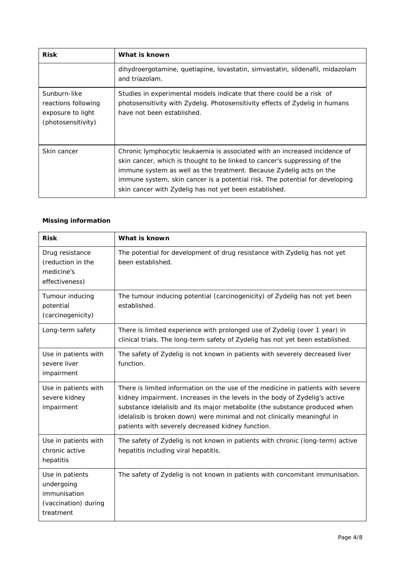| <b>Risk</b>                                                                    | What is known                                                                                                                                                                                                                                                                                                                                                            |
|--------------------------------------------------------------------------------|--------------------------------------------------------------------------------------------------------------------------------------------------------------------------------------------------------------------------------------------------------------------------------------------------------------------------------------------------------------------------|
|                                                                                | dihydroergotamine, quetiapine, lovastatin, simvastatin, sildenafil, midazolam<br>and triazolam.                                                                                                                                                                                                                                                                          |
| Sunburn-like<br>reactions following<br>exposure to light<br>(photosensitivity) | Studies in experimental models indicate that there could be a risk of<br>photosensitivity with Zydelig. Photosensitivity effects of Zydelig in humans<br>have not been established.                                                                                                                                                                                      |
| Skin cancer                                                                    | Chronic lymphocytic leukaemia is associated with an increased incidence of<br>skin cancer, which is thought to be linked to cancer's suppressing of the<br>immune system as well as the treatment. Because Zydelig acts on the<br>immune system, skin cancer is a potential risk. The potential for developing<br>skin cancer with Zydelig has not yet been established. |

#### *Missing information*

| <b>Risk</b>                                                                        | What is known                                                                                                                                                                                                                                                                                                                                                                |
|------------------------------------------------------------------------------------|------------------------------------------------------------------------------------------------------------------------------------------------------------------------------------------------------------------------------------------------------------------------------------------------------------------------------------------------------------------------------|
| Drug resistance<br>(reduction in the<br>medicine's<br>effectiveness)               | The potential for development of drug resistance with Zydelig has not yet<br>been established.                                                                                                                                                                                                                                                                               |
| Tumour inducing<br>potential<br>(carcinogenicity)                                  | The tumour inducing potential (carcinogenicity) of Zydelig has not yet been<br>established.                                                                                                                                                                                                                                                                                  |
| Long-term safety                                                                   | There is limited experience with prolonged use of Zydelig (over 1 year) in<br>clinical trials. The long-term safety of Zydelig has not yet been established.                                                                                                                                                                                                                 |
| Use in patients with<br>severe liver<br>impairment                                 | The safety of Zydelig is not known in patients with severely decreased liver<br>function.                                                                                                                                                                                                                                                                                    |
| Use in patients with<br>severe kidney<br>impairment                                | There is limited information on the use of the medicine in patients with severe<br>kidney impairment. Increases in the levels in the body of Zydelig's active<br>substance idelalisib and its major metabolite (the substance produced when<br>idelalisib is broken down) were minimal and not clinically meaningful in<br>patients with severely decreased kidney function. |
| Use in patients with<br>chronic active<br>hepatitis                                | The safety of Zydelig is not known in patients with chronic (long-term) active<br>hepatitis including viral hepatitis.                                                                                                                                                                                                                                                       |
| Use in patients<br>undergoing<br>immunisation<br>(vaccination) during<br>treatment | The safety of Zydelig is not known in patients with concomitant immunisation.                                                                                                                                                                                                                                                                                                |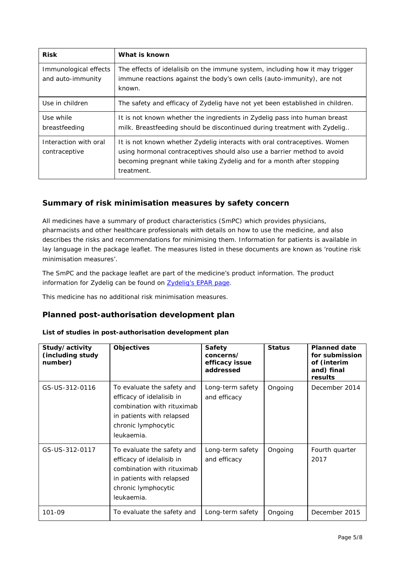| <b>Risk</b>                                | What is known                                                                                                                                                                                                                               |
|--------------------------------------------|---------------------------------------------------------------------------------------------------------------------------------------------------------------------------------------------------------------------------------------------|
| Immunological effects<br>and auto-immunity | The effects of idelalisib on the immune system, including how it may trigger<br>immune reactions against the body's own cells (auto-immunity), are not<br>known.                                                                            |
| Use in children                            | The safety and efficacy of Zydelig have not yet been established in children.                                                                                                                                                               |
| Use while<br>breastfeeding                 | It is not known whether the ingredients in Zydelig pass into human breast<br>milk. Breastfeeding should be discontinued during treatment with Zydelig                                                                                       |
| Interaction with oral<br>contraceptive     | It is not known whether Zydelig interacts with oral contraceptives. Women<br>using hormonal contraceptives should also use a barrier method to avoid<br>becoming pregnant while taking Zydelig and for a month after stopping<br>treatment. |

# **Summary of risk minimisation measures by safety concern**

All medicines have a summary of product characteristics (SmPC) which provides physicians, pharmacists and other healthcare professionals with details on how to use the medicine, and also describes the risks and recommendations for minimising them. Information for patients is available in lay language in the package leaflet. The measures listed in these documents are known as 'routine risk minimisation measures'.

The SmPC and the package leaflet are part of the medicine's product information. The product information for Zydelig can be found on **Zydelig's EPAR page**.

This medicine has no additional risk minimisation measures.

## **Planned post-authorisation development plan**

#### *List of studies in post-authorisation development plan*

| Study/activity<br>(including study<br>number) | <b>Objectives</b>                                                                                                                                       | <b>Safety</b><br>concerns/<br>efficacy issue<br>addressed | <b>Status</b> | <b>Planned date</b><br>for submission<br>of (interim<br>and) final<br>results |
|-----------------------------------------------|---------------------------------------------------------------------------------------------------------------------------------------------------------|-----------------------------------------------------------|---------------|-------------------------------------------------------------------------------|
| GS-US-312-0116                                | To evaluate the safety and<br>efficacy of idelalisib in<br>combination with rituximab<br>in patients with relapsed<br>chronic lymphocytic<br>leukaemia. | Long-term safety<br>and efficacy                          | Ongoing       | December 2014                                                                 |
| GS-US-312-0117                                | To evaluate the safety and<br>efficacy of idelalisib in<br>combination with rituximab<br>in patients with relapsed<br>chronic lymphocytic<br>leukaemia. | Long-term safety<br>and efficacy                          | Ongoing       | Fourth quarter<br>2017                                                        |
| 101-09                                        | To evaluate the safety and                                                                                                                              | Long-term safety                                          | Ongoing       | December 2015                                                                 |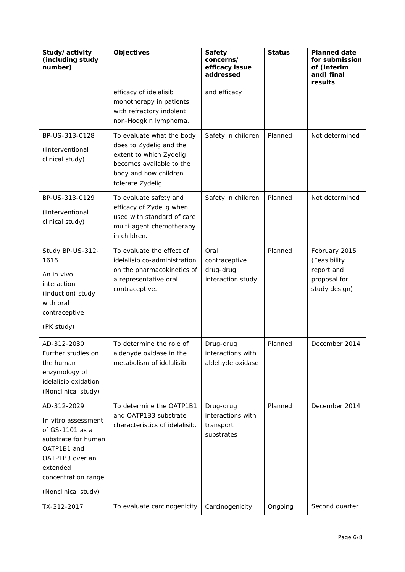| Study/activity<br>(including study<br>number)                                                                                                                            | Objectives                                                                                                                                                | Safety<br>concerns/<br>efficacy issue<br>addressed        | <b>Status</b> | <b>Planned date</b><br>for submission<br>of (interim<br>and) final<br>results |
|--------------------------------------------------------------------------------------------------------------------------------------------------------------------------|-----------------------------------------------------------------------------------------------------------------------------------------------------------|-----------------------------------------------------------|---------------|-------------------------------------------------------------------------------|
|                                                                                                                                                                          | efficacy of idelalisib<br>monotherapy in patients<br>with refractory indolent<br>non-Hodgkin lymphoma.                                                    | and efficacy                                              |               |                                                                               |
| BP-US-313-0128<br>(Interventional<br>clinical study)                                                                                                                     | To evaluate what the body<br>does to Zydelig and the<br>extent to which Zydelig<br>becomes available to the<br>body and how children<br>tolerate Zydelig. | Safety in children                                        | Planned       | Not determined                                                                |
| BP-US-313-0129<br>(Interventional<br>clinical study)                                                                                                                     | To evaluate safety and<br>efficacy of Zydelig when<br>used with standard of care<br>multi-agent chemotherapy<br>in children.                              | Safety in children                                        | Planned       | Not determined                                                                |
| Study BP-US-312-<br>1616<br>An in vivo<br>interaction<br>(induction) study<br>with oral<br>contraceptive<br>(PK study)                                                   | To evaluate the effect of<br>idelalisib co-administration<br>on the pharmacokinetics of<br>a representative oral<br>contraceptive.                        | Oral<br>contraceptive<br>drug-drug<br>interaction study   | Planned       | February 2015<br>(Feasibility<br>report and<br>proposal for<br>study design)  |
| AD-312-2030<br>Further studies on<br>the human<br>enzymology of<br>idelalisib oxidation<br>(Nonclinical study)                                                           | To determine the role of<br>aldehyde oxidase in the<br>metabolism of idelalisib.                                                                          | Drug-drug<br>interactions with<br>aldehyde oxidase        | Planned       | December 2014                                                                 |
| AD-312-2029<br>In vitro assessment<br>of GS-1101 as a<br>substrate for human<br>OATP1B1 and<br>OATP1B3 over an<br>extended<br>concentration range<br>(Nonclinical study) | To determine the OATP1B1<br>and OATP1B3 substrate<br>characteristics of idelalisib.                                                                       | Drug-drug<br>interactions with<br>transport<br>substrates | Planned       | December 2014                                                                 |
| TX-312-2017                                                                                                                                                              | To evaluate carcinogenicity                                                                                                                               | Carcinogenicity                                           | Ongoing       | Second quarter                                                                |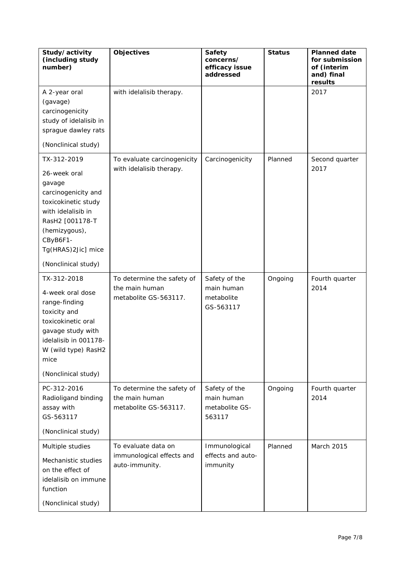| Study/activity<br>(including study<br>number)                                                                                                                                                          | <b>Objectives</b>                                                     | <b>Safety</b><br>concerns/<br>efficacy issue<br>addressed | <b>Status</b> | <b>Planned date</b><br>for submission<br>of (interim<br>and) final<br>results |
|--------------------------------------------------------------------------------------------------------------------------------------------------------------------------------------------------------|-----------------------------------------------------------------------|-----------------------------------------------------------|---------------|-------------------------------------------------------------------------------|
| A 2-year oral<br>(gavage)<br>carcinogenicity<br>study of idelalisib in<br>sprague dawley rats<br>(Nonclinical study)                                                                                   | with idelalisib therapy.                                              |                                                           |               | 2017                                                                          |
| TX-312-2019<br>26-week oral<br>gavage<br>carcinogenicity and<br>toxicokinetic study<br>with idelalisib in<br>RasH2 [001178-T<br>(hemizygous),<br>CByB6F1-<br>Tg(HRAS)2Jic] mice<br>(Nonclinical study) | To evaluate carcinogenicity<br>with idelalisib therapy.               | Carcinogenicity                                           | Planned       | Second quarter<br>2017                                                        |
| TX-312-2018<br>4-week oral dose<br>range-finding<br>toxicity and<br>toxicokinetic oral<br>gavage study with<br>idelalisib in 001178-<br>W (wild type) RasH2<br>mice<br>(Nonclinical study)             | To determine the safety of<br>the main human<br>metabolite GS-563117. | Safety of the<br>main human<br>metabolite<br>GS-563117    | Ongoing       | Fourth quarter<br>2014                                                        |
| PC-312-2016<br>Radioligand binding<br>assay with<br>GS-563117<br>(Nonclinical study)                                                                                                                   | To determine the safety of<br>the main human<br>metabolite GS-563117. | Safety of the<br>main human<br>metabolite GS-<br>563117   | Ongoing       | Fourth quarter<br>2014                                                        |
| Multiple studies<br>Mechanistic studies<br>on the effect of<br>idelalisib on immune<br>function<br>(Nonclinical study)                                                                                 | To evaluate data on<br>immunological effects and<br>auto-immunity.    | Immunological<br>effects and auto-<br>immunity            | Planned       | March 2015                                                                    |